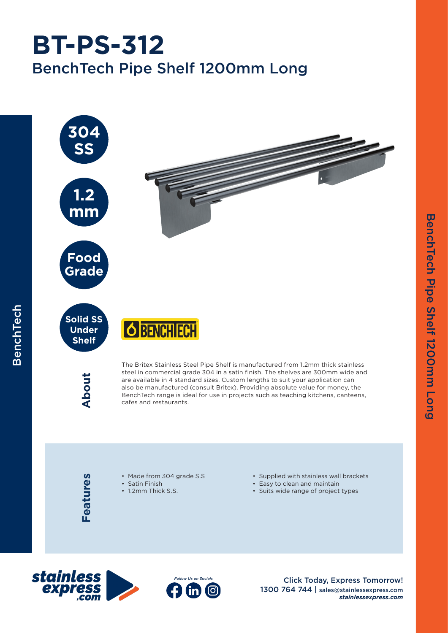## BenchTech Pipe Shelf 1200mm Long **BT-PS-312**



Features **Features**

BenchTech

BenchTech

- Made from 304 grade S.S
- Satin Finish
- 1.2mm Thick S.S.
- Supplied with stainless wall brackets
- Easy to clean and maintain
- Suits wide range of project types





Click Today, Express Tomorrow! 1300 764 744 | sales@stainlessexpress.com *stainlessexpress.com*